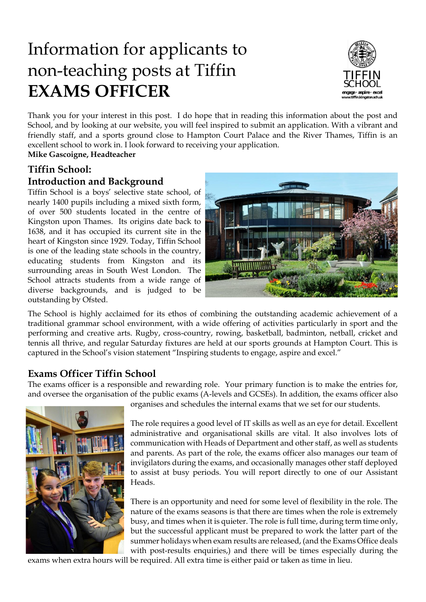# Information for applicants to non-teaching posts at Tiffin **EXAMS OFFICER**



Thank you for your interest in this post. I do hope that in reading this information about the post and School, and by looking at our website, you will feel inspired to submit an application. With a vibrant and friendly staff, and a sports ground close to Hampton Court Palace and the River Thames, Tiffin is an excellent school to work in. I look forward to receiving your application.

**Mike Gascoigne, Headteacher**

# **Tiffin School:**

## **Introduction and Background**

Tiffin School is a boys' selective state school, of nearly 1400 pupils including a mixed sixth form, of over 500 students located in the centre of Kingston upon Thames. Its origins date back to 1638, and it has occupied its current site in the heart of Kingston since 1929. Today, Tiffin School is one of the leading state schools in the country, educating students from Kingston and its surrounding areas in South West London. The School attracts students from a wide range of diverse backgrounds, and is judged to be outstanding by Ofsted.



The School is highly acclaimed for its ethos of combining the outstanding academic achievement of a traditional grammar school environment, with a wide offering of activities particularly in sport and the performing and creative arts. Rugby, cross-country, rowing, basketball, badminton, netball, cricket and tennis all thrive, and regular Saturday fixtures are held at our sports grounds at Hampton Court. This is captured in the School's vision statement "Inspiring students to engage, aspire and excel."

## **Exams Officer Tiffin School**

The exams officer is a responsible and rewarding role. Your primary function is to make the entries for, and oversee the organisation of the public exams (A-levels and GCSEs). In addition, the exams officer also



organises and schedules the internal exams that we set for our students.

The role requires a good level of IT skills as well as an eye for detail. Excellent administrative and organisational skills are vital. It also involves lots of communication with Heads of Department and other staff, as well as students and parents. As part of the role, the exams officer also manages our team of invigilators during the exams, and occasionally manages other staff deployed to assist at busy periods. You will report directly to one of our Assistant Heads.

There is an opportunity and need for some level of flexibility in the role. The nature of the exams seasons is that there are times when the role is extremely busy, and times when it is quieter. The role is full time, during term time only, but the successful applicant must be prepared to work the latter part of the summer holidays when exam results are released, (and the Exams Office deals with post-results enquiries,) and there will be times especially during the

exams when extra hours will be required. All extra time is either paid or taken as time in lieu.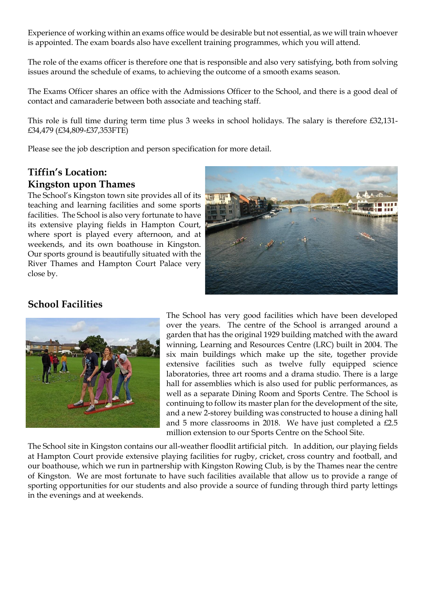Experience of working within an exams office would be desirable but not essential, as we will train whoever is appointed. The exam boards also have excellent training programmes, which you will attend.

The role of the exams officer is therefore one that is responsible and also very satisfying, both from solving issues around the schedule of exams, to achieving the outcome of a smooth exams season.

The Exams Officer shares an office with the Admissions Officer to the School, and there is a good deal of contact and camaraderie between both associate and teaching staff.

This role is full time during term time plus 3 weeks in school holidays. The salary is therefore £32,131- £34,479 (£34,809-£37,353FTE)

Please see the job description and person specification for more detail.

# **Tiffin's Location: Kingston upon Thames**

The School's Kingston town site provides all of its teaching and learning facilities and some sports facilities. The School is also very fortunate to have its extensive playing fields in Hampton Court, where sport is played every afternoon, and at weekends, and its own boathouse in Kingston. Our sports ground is beautifully situated with the River Thames and Hampton Court Palace very close by.



# **School Facilities**



The School has very good facilities which have been developed over the years. The centre of the School is arranged around a garden that has the original 1929 building matched with the award winning, Learning and Resources Centre (LRC) built in 2004. The six main buildings which make up the site, together provide extensive facilities such as twelve fully equipped science laboratories, three art rooms and a drama studio. There is a large hall for assemblies which is also used for public performances, as well as a separate Dining Room and Sports Centre. The School is continuing to follow its master plan for the development of the site, and a new 2-storey building was constructed to house a dining hall and 5 more classrooms in 2018. We have just completed a £2.5 million extension to our Sports Centre on the School Site.

The School site in Kingston contains our all-weather floodlit artificial pitch. In addition, our playing fields at Hampton Court provide extensive playing facilities for rugby, cricket, cross country and football, and our boathouse, which we run in partnership with Kingston Rowing Club, is by the Thames near the centre of Kingston. We are most fortunate to have such facilities available that allow us to provide a range of sporting opportunities for our students and also provide a source of funding through third party lettings in the evenings and at weekends.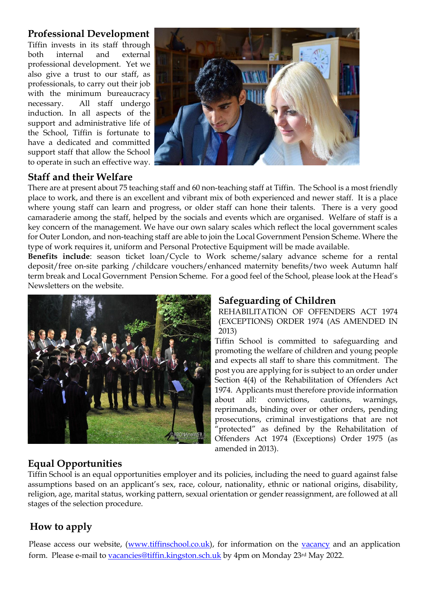# **Professional Development**

Tiffin invests in its staff through both internal and external professional development. Yet we also give a trust to our staff, as professionals, to carry out their job with the minimum bureaucracy necessary. All staff undergo induction. In all aspects of the support and administrative life of the School, Tiffin is fortunate to have a dedicated and committed support staff that allow the School to operate in such an effective way.



# **Staff and their Welfare**

There are at present about 75 teaching staff and 60 non-teaching staff at Tiffin. The School is a most friendly place to work, and there is an excellent and vibrant mix of both experienced and newer staff. It is a place where young staff can learn and progress, or older staff can hone their talents. There is a very good camaraderie among the staff, helped by the socials and events which are organised. Welfare of staff is a key concern of the management. We have our own salary scales which reflect the local government scales for Outer London, and non-teaching staff are able to join the Local Government Pension Scheme. Where the type of work requires it, uniform and Personal Protective Equipment will be made available.

**Benefits include**: season ticket loan/Cycle to Work scheme/salary advance scheme for a rental deposit/free on-site parking /childcare vouchers/enhanced maternity benefits/two week Autumn half term break and Local Government Pension Scheme. For a good feel of the School, please look at the Head's Newsletters on the website.



# **Safeguarding of Children**

REHABILITATION OF OFFENDERS ACT 1974 (EXCEPTIONS) ORDER 1974 (AS AMENDED IN 2013)

Tiffin School is committed to safeguarding and promoting the welfare of children and young people and expects all staff to share this commitment. The post you are applying for is subject to an order under Section 4(4) of the Rehabilitation of Offenders Act 1974. Applicants must therefore provide information about all: convictions, cautions, warnings, reprimands, binding over or other orders, pending prosecutions, criminal investigations that are not "protected" as defined by the Rehabilitation of Offenders Act 1974 (Exceptions) Order 1975 (as amended in 2013).

# **Equal Opportunities**

Tiffin School is an equal opportunities employer and its policies, including the need to guard against false assumptions based on an applicant's sex, race, colour, nationality, ethnic or national origins, disability, religion, age, marital status, working pattern, sexual orientation or gender reassignment, are followed at all stages of the selection procedure.

# **How to apply**

Please access our website, [\(www.tiffinschool.co.uk\)](http://www.tiffinschool.co.uk/), for information on the [vacancy](http://www.tiffinschool.co.uk/about/vacancies.html) and an application form. Please e-mail to [vacancies@tiffin.kingston.sch.uk](mailto:vacancies@tiffin.kingston.sch.uk) by 4pm on Monday 23rd May 2022.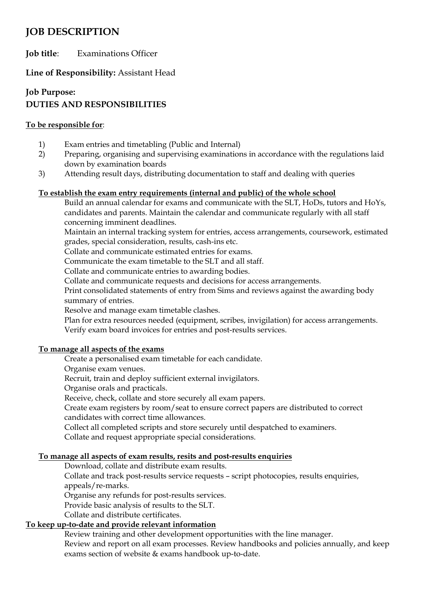# **JOB DESCRIPTION**

**Job title**: Examinations Officer

**Line of Responsibility:** Assistant Head

# **Job Purpose: DUTIES AND RESPONSIBILITIES**

#### **To be responsible for**:

- 1) Exam entries and timetabling (Public and Internal)
- 2) Preparing, organising and supervising examinations in accordance with the regulations laid down by examination boards
- 3) Attending result days, distributing documentation to staff and dealing with queries

#### **To establish the exam entry requirements (internal and public) of the whole school**

Build an annual calendar for exams and communicate with the SLT, HoDs, tutors and HoYs, candidates and parents. Maintain the calendar and communicate regularly with all staff concerning imminent deadlines.

Maintain an internal tracking system for entries, access arrangements, coursework, estimated grades, special consideration, results, cash-ins etc.

Collate and communicate estimated entries for exams.

Communicate the exam timetable to the SLT and all staff.

Collate and communicate entries to awarding bodies.

Collate and communicate requests and decisions for access arrangements.

Print consolidated statements of entry from Sims and reviews against the awarding body summary of entries.

Resolve and manage exam timetable clashes.

Plan for extra resources needed (equipment, scribes, invigilation) for access arrangements. Verify exam board invoices for entries and post-results services.

#### **To manage all aspects of the exams**

Create a personalised exam timetable for each candidate.

Organise exam venues.

Recruit, train and deploy sufficient external invigilators.

Organise orals and practicals.

Receive, check, collate and store securely all exam papers.

Create exam registers by room/seat to ensure correct papers are distributed to correct candidates with correct time allowances.

Collect all completed scripts and store securely until despatched to examiners.

Collate and request appropriate special considerations.

#### **To manage all aspects of exam results, resits and post-results enquiries**

Download, collate and distribute exam results.

Collate and track post-results service requests – script photocopies, results enquiries, appeals/re-marks.

Organise any refunds for post-results services.

Provide basic analysis of results to the SLT.

Collate and distribute certificates.

### **To keep up-to-date and provide relevant information**

Review training and other development opportunities with the line manager. Review and report on all exam processes. Review handbooks and policies annually, and keep

exams section of website & exams handbook up-to-date.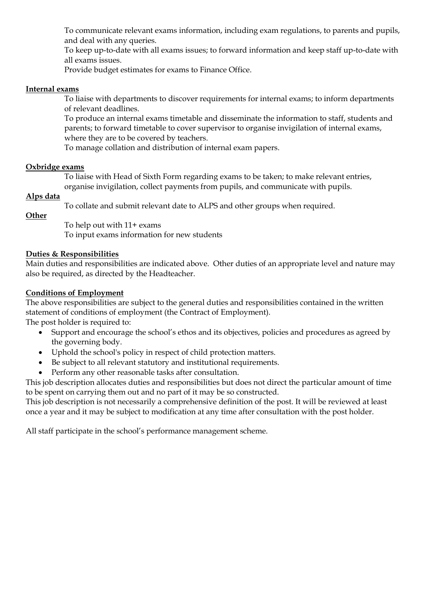To communicate relevant exams information, including exam regulations, to parents and pupils, and deal with any queries.

To keep up-to-date with all exams issues; to forward information and keep staff up-to-date with all exams issues.

Provide budget estimates for exams to Finance Office.

#### **Internal exams**

To liaise with departments to discover requirements for internal exams; to inform departments of relevant deadlines.

To produce an internal exams timetable and disseminate the information to staff, students and parents; to forward timetable to cover supervisor to organise invigilation of internal exams, where they are to be covered by teachers.

To manage collation and distribution of internal exam papers.

#### **Oxbridge exams**

To liaise with Head of Sixth Form regarding exams to be taken; to make relevant entries, organise invigilation, collect payments from pupils, and communicate with pupils.

#### **Alps data**

To collate and submit relevant date to ALPS and other groups when required.

#### **Other**

To help out with 11+ exams

To input exams information for new students

#### **Duties & Responsibilities**

Main duties and responsibilities are indicated above. Other duties of an appropriate level and nature may also be required, as directed by the Headteacher.

#### **Conditions of Employment**

The above responsibilities are subject to the general duties and responsibilities contained in the written statement of conditions of employment (the Contract of Employment).

The post holder is required to:

- Support and encourage the school's ethos and its objectives, policies and procedures as agreed by the governing body.
- Uphold the school's policy in respect of child protection matters.
- Be subject to all relevant statutory and institutional requirements.
- Perform any other reasonable tasks after consultation.

This job description allocates duties and responsibilities but does not direct the particular amount of time to be spent on carrying them out and no part of it may be so constructed.

This job description is not necessarily a comprehensive definition of the post. It will be reviewed at least once a year and it may be subject to modification at any time after consultation with the post holder.

All staff participate in the school's performance management scheme.